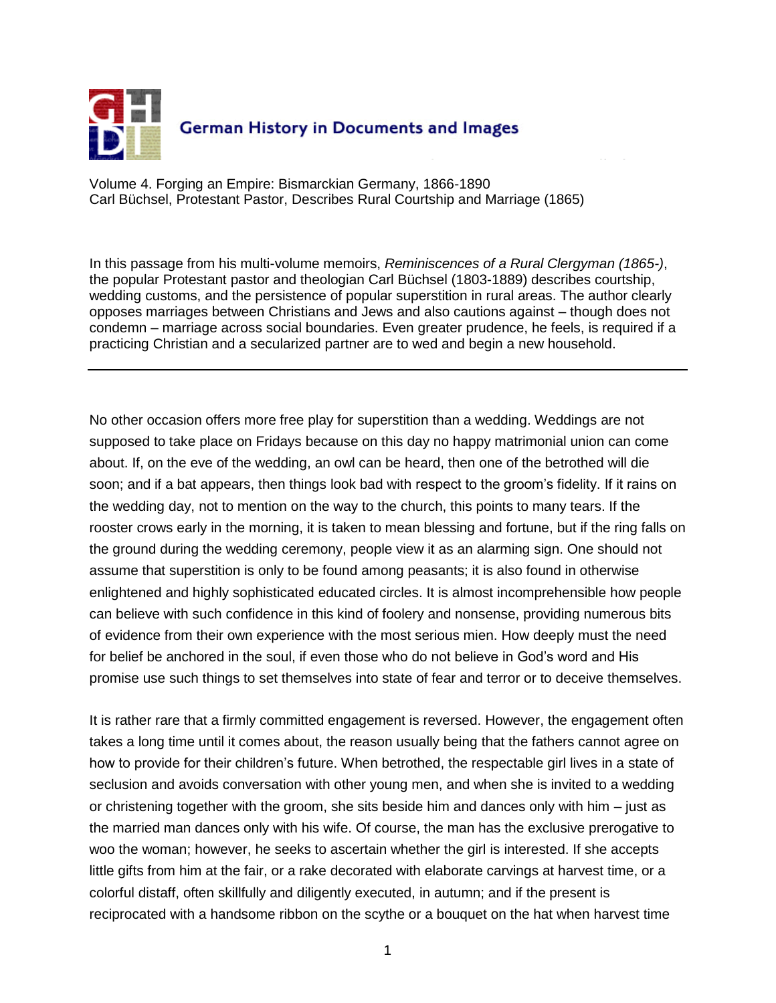

Volume 4. Forging an Empire: Bismarckian Germany, 1866-1890 Carl Büchsel, Protestant Pastor, Describes Rural Courtship and Marriage (1865)

In this passage from his multi-volume memoirs, *Reminiscences of a Rural Clergyman (1865-)*, the popular Protestant pastor and theologian Carl Büchsel (1803-1889) describes courtship, wedding customs, and the persistence of popular superstition in rural areas. The author clearly opposes marriages between Christians and Jews and also cautions against – though does not condemn – marriage across social boundaries. Even greater prudence, he feels, is required if a practicing Christian and a secularized partner are to wed and begin a new household.

No other occasion offers more free play for superstition than a wedding. Weddings are not supposed to take place on Fridays because on this day no happy matrimonial union can come about. If, on the eve of the wedding, an owl can be heard, then one of the betrothed will die soon; and if a bat appears, then things look bad with respect to the groom's fidelity. If it rains on the wedding day, not to mention on the way to the church, this points to many tears. If the rooster crows early in the morning, it is taken to mean blessing and fortune, but if the ring falls on the ground during the wedding ceremony, people view it as an alarming sign. One should not assume that superstition is only to be found among peasants; it is also found in otherwise enlightened and highly sophisticated educated circles. It is almost incomprehensible how people can believe with such confidence in this kind of foolery and nonsense, providing numerous bits of evidence from their own experience with the most serious mien. How deeply must the need for belief be anchored in the soul, if even those who do not believe in God's word and His promise use such things to set themselves into state of fear and terror or to deceive themselves.

It is rather rare that a firmly committed engagement is reversed. However, the engagement often takes a long time until it comes about, the reason usually being that the fathers cannot agree on how to provide for their children's future. When betrothed, the respectable girl lives in a state of seclusion and avoids conversation with other young men, and when she is invited to a wedding or christening together with the groom, she sits beside him and dances only with him – just as the married man dances only with his wife. Of course, the man has the exclusive prerogative to woo the woman; however, he seeks to ascertain whether the girl is interested. If she accepts little gifts from him at the fair, or a rake decorated with elaborate carvings at harvest time, or a colorful distaff, often skillfully and diligently executed, in autumn; and if the present is reciprocated with a handsome ribbon on the scythe or a bouquet on the hat when harvest time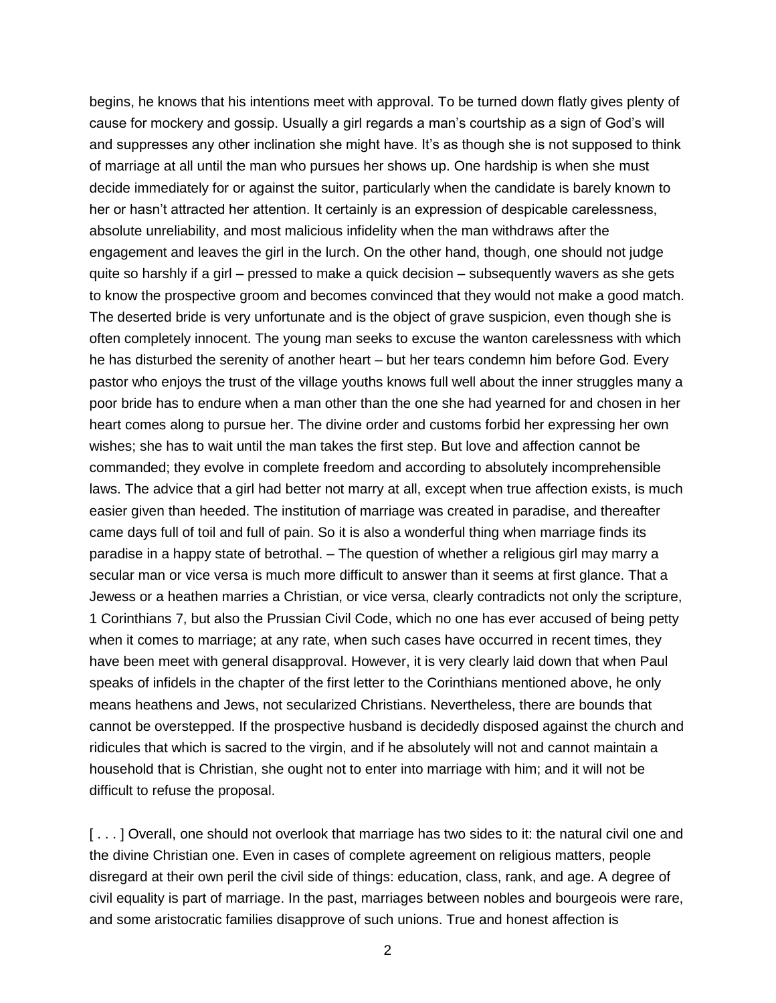begins, he knows that his intentions meet with approval. To be turned down flatly gives plenty of cause for mockery and gossip. Usually a girl regards a man's courtship as a sign of God's will and suppresses any other inclination she might have. It's as though she is not supposed to think of marriage at all until the man who pursues her shows up. One hardship is when she must decide immediately for or against the suitor, particularly when the candidate is barely known to her or hasn't attracted her attention. It certainly is an expression of despicable carelessness, absolute unreliability, and most malicious infidelity when the man withdraws after the engagement and leaves the girl in the lurch. On the other hand, though, one should not judge quite so harshly if a girl – pressed to make a quick decision – subsequently wavers as she gets to know the prospective groom and becomes convinced that they would not make a good match. The deserted bride is very unfortunate and is the object of grave suspicion, even though she is often completely innocent. The young man seeks to excuse the wanton carelessness with which he has disturbed the serenity of another heart – but her tears condemn him before God. Every pastor who enjoys the trust of the village youths knows full well about the inner struggles many a poor bride has to endure when a man other than the one she had yearned for and chosen in her heart comes along to pursue her. The divine order and customs forbid her expressing her own wishes; she has to wait until the man takes the first step. But love and affection cannot be commanded; they evolve in complete freedom and according to absolutely incomprehensible laws. The advice that a girl had better not marry at all, except when true affection exists, is much easier given than heeded. The institution of marriage was created in paradise, and thereafter came days full of toil and full of pain. So it is also a wonderful thing when marriage finds its paradise in a happy state of betrothal. – The question of whether a religious girl may marry a secular man or vice versa is much more difficult to answer than it seems at first glance. That a Jewess or a heathen marries a Christian, or vice versa, clearly contradicts not only the scripture, 1 Corinthians 7, but also the Prussian Civil Code, which no one has ever accused of being petty when it comes to marriage; at any rate, when such cases have occurred in recent times, they have been meet with general disapproval. However, it is very clearly laid down that when Paul speaks of infidels in the chapter of the first letter to the Corinthians mentioned above, he only means heathens and Jews, not secularized Christians. Nevertheless, there are bounds that cannot be overstepped. If the prospective husband is decidedly disposed against the church and ridicules that which is sacred to the virgin, and if he absolutely will not and cannot maintain a household that is Christian, she ought not to enter into marriage with him; and it will not be difficult to refuse the proposal.

[ . . . ] Overall, one should not overlook that marriage has two sides to it: the natural civil one and the divine Christian one. Even in cases of complete agreement on religious matters, people disregard at their own peril the civil side of things: education, class, rank, and age. A degree of civil equality is part of marriage. In the past, marriages between nobles and bourgeois were rare, and some aristocratic families disapprove of such unions. True and honest affection is

2